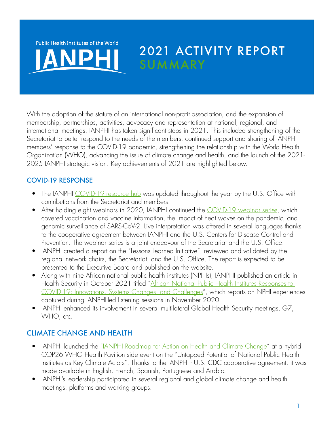Public Health Institutes of the World

# 2021 ACTIVITY REPORT **SUMMARY**

With the adoption of the statute of an international non-profit association, and the expansion of membership, partnerships, activities, advocacy and representation at national, regional, and international meetings, IANPHI has taken significant steps in 2021. This included strengthening of the Secretariat to better respond to the needs of the members, continued support and sharing of IANPHI members' response to the COVID-19 pandemic, strengthening the relationship with the World Health Organization (WHO), advancing the issue of climate change and health, and the launch of the 2021- 2025 IANPHI strategic vision. Key achievements of 2021 are highlighted below.

#### COVID-19 RESPONSE

- The IANPHI [COVID-19 resource hub](https://ianphi.org/news/2020/covid-resources.html) was updated throughout the year by the U.S. Office with contributions from the Secretariat and members.
- After holding eight webinars in 2020, IANPHI continued the [COVID-19 webinar series,](https://ianphi.org/news/2020/covid-webinars.html
) which covered vaccination and vaccine information, the impact of heat waves on the pandemic, and genomic surveillance of SARS-CoV-2. Live interpretation was offered in several languages thanks to the cooperative agreement between IANPHI and the U.S. Centers for Disease Control and Prevention. The webinar series is a joint endeavour of the Secretariat and the U.S. Office.
- IANPHI created a report on the "Lessons Learned Initiative", reviewed and validated by the regional network chairs, the Secretariat, and the U.S. Office. The report is expected to be presented to the Executive Board and published on the website.
- Along with nine African national public health institutes (NPHIs), IANPHI published an article in Health Security in October 2021 titled "African National Public Health Institutes Responses to [COVID-19: Innovations, Systems Changes, and Challenges](https://www.liebertpub.com/doi/full/10.1089/hs.2021.0094)", which reports on NPHI experiences captured during IANPHI-led listening sessions in November 2020.
- IANPHI enhanced its involvement in several multilateral Global Health Security meetings, G7, WHO, etc.

#### CLIMATE CHANGE AND HEALTH

- IANPHI launched the "[IANPHI Roadmap for Action on Health and Climate Change"](https://ianphi.org/news/2021/roadmap-climate-change.html) at a hybrid COP26 WHO Health Pavilion side event on the "Untapped Potential of National Public Health Institutes as Key Climate Actors". Thanks to the IANPHI - U.S. CDC cooperative agreement, it was made available in English, French, Spanish, Portuguese and Arabic.
- IANPHI's leadership participated in several regional and global climate change and health meetings, platforms and working groups.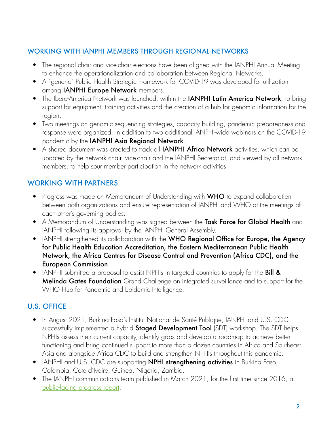#### WORKING WITH IANPHI MEMBERS THROUGH REGIONAL NETWORKS

- The regional chair and vice-chair elections have been aligned with the IANPHI Annual Meeting to enhance the operationalization and collaboration between Regional Networks.
- A "generic" Public Health Strategic Framework for COVID-19 was developed for utilization among **IANPHI Europe Network** members.
- The Ibero-America Network was launched, within the **IANPHI Latin America Network**, to bring support for equipment, training activities and the creation of a hub for genomic information for the region.
- Two meetings on genomic sequencing strategies, capacity building, pandemic preparedness and response were organized, in addition to two additional IANPHI-wide webinars on the COVID-19 pandemic by the IANPHI Asia Regional Network.
- A shared document was created to track all **IANPHI Africa Network** activities, which can be updated by the network chair, vice-chair and the IANPHI Secretariat, and viewed by all network members, to help spur member participation in the network activities.

### WORKING WITH PARTNERS

- Progress was made on Memorandum of Understanding with **WHO** to expand collaboration between both organizations and ensure representation of IANPHI and WHO at the meetings of each other's governing bodies.
- A Memorandum of Understanding was signed between the Task Force for Global Health and IANPHI following its approval by the IANPHI General Assembly.
- IANPHI strengthened its collaboration with the WHO Regional Office for Europe, the Agency for Public Health Education Accreditation, the Eastern Mediterranean Public Health Network, the Africa Centres for Disease Control and Prevention (Africa CDC), and the European Commission.
- IANPHI submitted a proposal to assist NPHIs in targeted countries to apply for the **Bill &** Melinda Gates Foundation Grand Challenge on integrated surveillance and to support for the WHO Hub for Pandemic and Epidemic Intelligence.

## U.S. OFFICE

- In August 2021, Burkina Faso's Institut National de Santé Publique, IANPHI and U.S. CDC successfully implemented a hybrid **Staged Development Tool** (SDT) workshop. The SDT helps NPHIs assess their current capacity, identify gaps and develop a roadmap to achieve better functioning and bring continued support to more than a dozen countries in Africa and Southeast Asia and alongside Africa CDC to build and strengthen NPHIs throughout this pandemic.
- IANPHI and U.S. CDC are supporting **NPHI strengthening activities** in Burkina Faso, Colombia, Cote d'Ivoire, Guinea, Nigeria, Zambia.
- The IANPHI communications team published in March 2021, for the first time since 2016, a [public-facing progress report.](https://www.ianphi.org/news/2021/2020-progress-report.html)